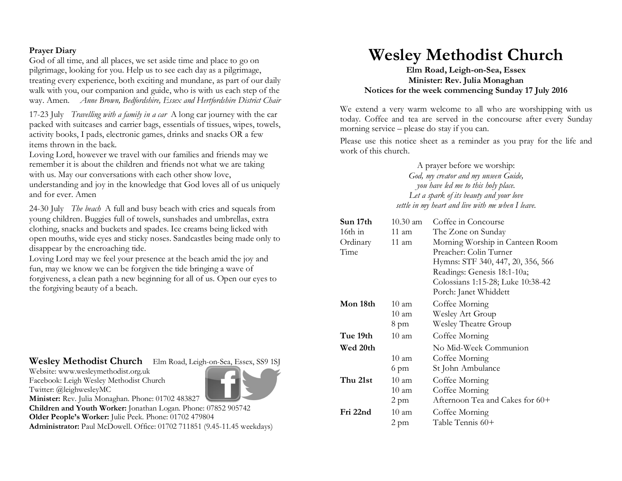### **Prayer Diary**

God of all time, and all places, we set aside time and place to go on pilgrimage, looking for you. Help us to see each day as a pilgrimage, treating every experience, both exciting and mundane, as part of our daily walk with you, our companion and guide, who is with us each step of the way. Amen. *Anne Brown, Bedfordshire, Essex and Hertfordshire District Chair*

17-23 July *Travelling with a family in a car* A long car journey with the car packed with suitcases and carrier bags, essentials of tissues, wipes, towels, activity books, I pads, electronic games, drinks and snacks OR a few items thrown in the back.

Loving Lord, however we travel with our families and friends may we remember it is about the children and friends not what we are taking with us. May our conversations with each other show love,

understanding and joy in the knowledge that God loves all of us uniquely and for ever. Amen

24-30 July *The beach* A full and busy beach with cries and squeals from young children. Buggies full of towels, sunshades and umbrellas, extra clothing, snacks and buckets and spades. Ice creams being licked with open mouths, wide eyes and sticky noses. Sandcastles being made only to disappear by the encroaching tide.

Loving Lord may we feel your presence at the beach amid the joy and fun, may we know we can be forgiven the tide bringing a wave of forgiveness, a clean path a new beginning for all of us. Open our eyes to the forgiving beauty of a beach.

# **Wesley Methodist Church** Elm Road, Leigh-on-Sea, Essex, SS9 1SJ

Website: www.wesleymethodist.org.uk Facebook: Leigh Wesley Methodist Church Twitter: @leighwesleyMC



**Minister:** Rev. Julia Monaghan. Phone: 01702 483827

**Children and Youth Worker:** Jonathan Logan. Phone: 07852 905742 **Older People's Worker:** Julie Peek. Phone: 01702 479804 **Administrator:** Paul McDowell. Office: 01702 711851 (9.45-11.45 weekdays)

# **Wesley Methodist Church**

**Elm Road, Leigh-on-Sea, Essex Minister: Rev. Julia Monaghan Notices for the week commencing Sunday 17 July 2016**

We extend a very warm welcome to all who are worshipping with us today. Coffee and tea are served in the concourse after every Sunday morning service – please do stay if you can.

Please use this notice sheet as a reminder as you pray for the life and work of this church.

> A prayer before we worship: *God, my creator and my unseen Guide, you have led me to this holy place. Let a spark of its beauty and your love settle in my heart and live with me when I leave.*

| Sun 17th        | $10.30$ am      | Coffee in Concourse               |
|-----------------|-----------------|-----------------------------------|
| 16th in         | 11 am           | The Zone on Sunday                |
| Ordinary        | 11 am           | Morning Worship in Canteen Room   |
| Time            |                 | Preacher: Colin Turner            |
|                 |                 | Hymns: STF 340, 447, 20, 356, 566 |
|                 |                 | Readings: Genesis 18:1-10a;       |
|                 |                 | Colossians 1:15-28; Luke 10:38-42 |
|                 |                 | Porch: Janet Whiddett             |
| Mon 18th        | 10 am           | Coffee Morning                    |
|                 | $10 \text{ am}$ | Wesley Art Group                  |
|                 | 8 pm            | <b>Wesley Theatre Group</b>       |
| Tue 19th        | 10 am           | Coffee Morning                    |
| <b>Wed 20th</b> |                 | No Mid-Week Communion             |
|                 | 10 am           | Coffee Morning                    |
|                 | 6 pm            | St John Ambulance                 |
| Thu 21st        | 10 am           | Coffee Morning                    |
|                 | 10 am           | Coffee Morning                    |
|                 | 2 pm            | Afternoon Tea and Cakes for $60+$ |
| Fri 22nd        | 10 am           | Coffee Morning                    |
|                 | 2 pm            | Table Tennis 60+                  |